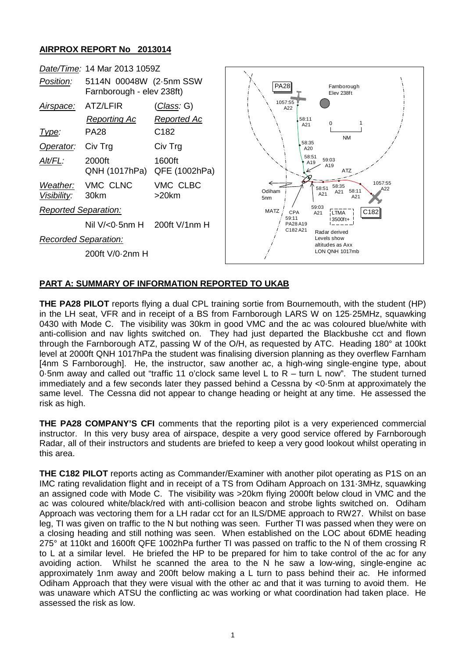## **AIRPROX REPORT No 2013014**



## **PART A: SUMMARY OF INFORMATION REPORTED TO UKAB**

**THE PA28 PILOT** reports flying a dual CPL training sortie from Bournemouth, with the student (HP) in the LH seat, VFR and in receipt of a BS from Farnborough LARS W on 125·25MHz, squawking 0430 with Mode C. The visibility was 30km in good VMC and the ac was coloured blue/white with anti-collision and nav lights switched on. They had just departed the Blackbushe cct and flown through the Farnborough ATZ, passing W of the O/H, as requested by ATC. Heading 180° at 100kt level at 2000ft QNH 1017hPa the student was finalising diversion planning as they overflew Farnham [4nm S Farnborough]. He, the instructor, saw another ac, a high-wing single-engine type, about 0·5nm away and called out "traffic 11 o'clock same level L to R – turn L now". The student turned immediately and a few seconds later they passed behind a Cessna by <0·5nm at approximately the same level. The Cessna did not appear to change heading or height at any time. He assessed the risk as high.

**THE PA28 COMPANY'S CFI** comments that the reporting pilot is a very experienced commercial instructor. In this very busy area of airspace, despite a very good service offered by Farnborough Radar, all of their instructors and students are briefed to keep a very good lookout whilst operating in this area.

**THE C182 PILOT** reports acting as Commander/Examiner with another pilot operating as P1S on an IMC rating revalidation flight and in receipt of a TS from Odiham Approach on 131·3MHz, squawking an assigned code with Mode C. The visibility was >20km flying 2000ft below cloud in VMC and the ac was coloured white/black/red with anti-collision beacon and strobe lights switched on. Odiham Approach was vectoring them for a LH radar cct for an ILS/DME approach to RW27. Whilst on base leg, TI was given on traffic to the N but nothing was seen. Further TI was passed when they were on a closing heading and still nothing was seen. When established on the LOC about 6DME heading 275° at 110kt and 1600ft QFE 1002hPa further TI was passed on traffic to the N of them crossing R to L at a similar level. He briefed the HP to be prepared for him to take control of the ac for any avoiding action. Whilst he scanned the area to the N he saw a low-wing, single-engine ac approximately 1nm away and 200ft below making a L turn to pass behind their ac. He informed Odiham Approach that they were visual with the other ac and that it was turning to avoid them. He was unaware which ATSU the conflicting ac was working or what coordination had taken place. He assessed the risk as low.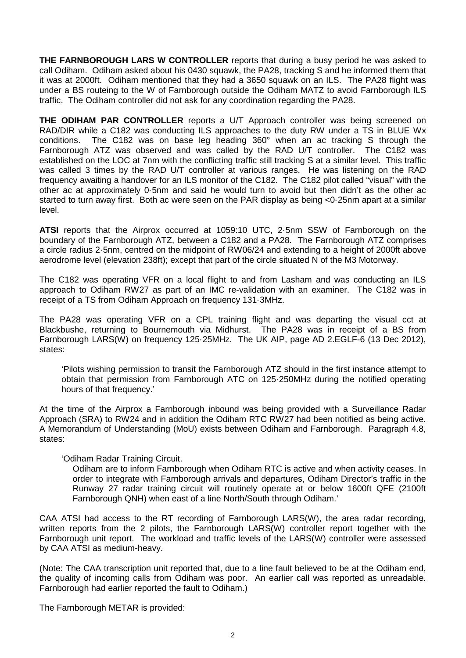**THE FARNBOROUGH LARS W CONTROLLER** reports that during a busy period he was asked to call Odiham. Odiham asked about his 0430 squawk, the PA28, tracking S and he informed them that it was at 2000ft. Odiham mentioned that they had a 3650 squawk on an ILS. The PA28 flight was under a BS routeing to the W of Farnborough outside the Odiham MATZ to avoid Farnborough ILS traffic. The Odiham controller did not ask for any coordination regarding the PA28.

**THE ODIHAM PAR CONTROLLER** reports a U/T Approach controller was being screened on RAD/DIR while a C182 was conducting ILS approaches to the duty RW under a TS in BLUE Wx conditions. The C182 was on base leg heading 360° when an ac tracking S through the Farnborough ATZ was observed and was called by the RAD U/T controller. The C182 was established on the LOC at 7nm with the conflicting traffic still tracking S at a similar level. This traffic was called 3 times by the RAD U/T controller at various ranges. He was listening on the RAD frequency awaiting a handover for an ILS monitor of the C182. The C182 pilot called "visual" with the other ac at approximately 0·5nm and said he would turn to avoid but then didn't as the other ac started to turn away first. Both ac were seen on the PAR display as being <0.25nm apart at a similar level.

**ATSI** reports that the Airprox occurred at 1059:10 UTC, 2·5nm SSW of Farnborough on the boundary of the Farnborough ATZ, between a C182 and a PA28. The Farnborough ATZ comprises a circle radius 2·5nm, centred on the midpoint of RW06/24 and extending to a height of 2000ft above aerodrome level (elevation 238ft); except that part of the circle situated N of the M3 Motorway.

The C182 was operating VFR on a local flight to and from Lasham and was conducting an ILS approach to Odiham RW27 as part of an IMC re-validation with an examiner. The C182 was in receipt of a TS from Odiham Approach on frequency 131·3MHz.

The PA28 was operating VFR on a CPL training flight and was departing the visual cct at Blackbushe, returning to Bournemouth via Midhurst. The PA28 was in receipt of a BS from Farnborough LARS(W) on frequency 125·25MHz. The UK AIP, page AD 2.EGLF-6 (13 Dec 2012), states:

'Pilots wishing permission to transit the Farnborough ATZ should in the first instance attempt to obtain that permission from Farnborough ATC on 125·250MHz during the notified operating hours of that frequency.'

At the time of the Airprox a Farnborough inbound was being provided with a Surveillance Radar Approach (SRA) to RW24 and in addition the Odiham RTC RW27 had been notified as being active. A Memorandum of Understanding (MoU) exists between Odiham and Farnborough. Paragraph 4.8, states:

'Odiham Radar Training Circuit.

Odiham are to inform Farnborough when Odiham RTC is active and when activity ceases. In order to integrate with Farnborough arrivals and departures, Odiham Director's traffic in the Runway 27 radar training circuit will routinely operate at or below 1600ft QFE (2100ft Farnborough QNH) when east of a line North/South through Odiham.'

CAA ATSI had access to the RT recording of Farnborough LARS(W), the area radar recording, written reports from the 2 pilots, the Farnborough LARS(W) controller report together with the Farnborough unit report. The workload and traffic levels of the LARS(W) controller were assessed by CAA ATSI as medium-heavy.

(Note: The CAA transcription unit reported that, due to a line fault believed to be at the Odiham end, the quality of incoming calls from Odiham was poor. An earlier call was reported as unreadable. Farnborough had earlier reported the fault to Odiham.)

The Farnborough METAR is provided: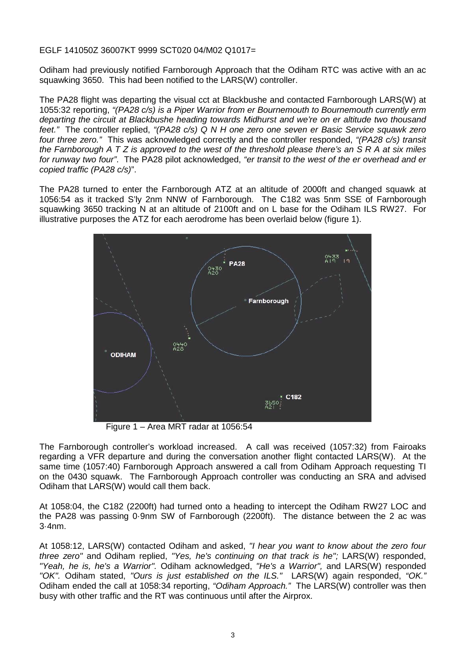#### EGLF 141050Z 36007KT 9999 SCT020 04/M02 Q1017=

Odiham had previously notified Farnborough Approach that the Odiham RTC was active with an ac squawking 3650. This had been notified to the LARS(W) controller.

The PA28 flight was departing the visual cct at Blackbushe and contacted Farnborough LARS(W) at 1055:32 reporting, *"(PA28 c/s) is a Piper Warrior from er Bournemouth to Bournemouth currently erm departing the circuit at Blackbushe heading towards Midhurst and we're on er altitude two thousand feet."* The controller replied, *"(PA28 c/s) Q N H one zero one seven er Basic Service squawk zero four three zero."* This was acknowledged correctly and the controller responded, *"(PA28 c/s) transit the Farnborough A T Z is approved to the west of the threshold please there's an S R A at six miles for runway two four"*. The PA28 pilot acknowledged, *"er transit to the west of the er overhead and er copied traffic (PA28 c/s)*".

The PA28 turned to enter the Farnborough ATZ at an altitude of 2000ft and changed squawk at 1056:54 as it tracked S'ly 2nm NNW of Farnborough. The C182 was 5nm SSE of Farnborough squawking 3650 tracking N at an altitude of 2100ft and on L base for the Odiham ILS RW27. For illustrative purposes the ATZ for each aerodrome has been overlaid below (figure 1).



Figure 1 – Area MRT radar at 1056:54

The Farnborough controller's workload increased. A call was received (1057:32) from Fairoaks regarding a VFR departure and during the conversation another flight contacted LARS(W). At the same time (1057:40) Farnborough Approach answered a call from Odiham Approach requesting TI on the 0430 squawk. The Farnborough Approach controller was conducting an SRA and advised Odiham that LARS(W) would call them back.

At 1058:04, the C182 (2200ft) had turned onto a heading to intercept the Odiham RW27 LOC and the PA28 was passing 0·9nm SW of Farnborough (2200ft). The distance between the 2 ac was 3·4nm.

At 1058:12, LARS(W) contacted Odiham and asked, *"I hear you want to know about the zero four three zero"* and Odiham replied, *"Yes, he's continuing on that track is he";* LARS(W) responded, *"Yeah, he is, he's a Warrior".* Odiham acknowledged, *"He's a Warrior",* and LARS(W) responded *"OK".* Odiham stated, *"Ours is just established on the ILS."* LARS(W) again responded, *"OK."*  Odiham ended the call at 1058:34 reporting, *"Odiham Approach."* The LARS(W) controller was then busy with other traffic and the RT was continuous until after the Airprox.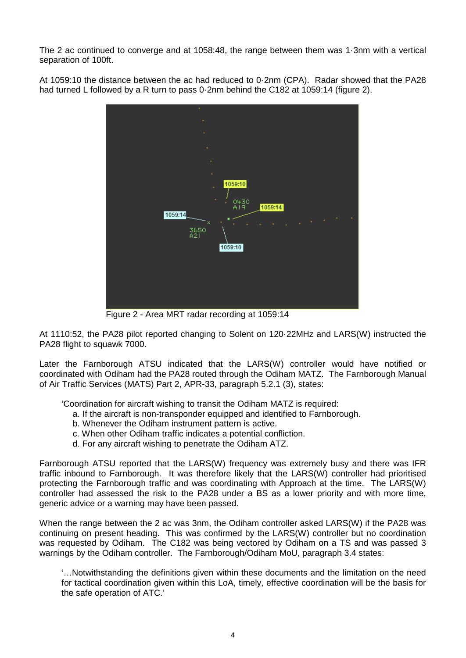The 2 ac continued to converge and at 1058:48, the range between them was 1·3nm with a vertical separation of 100ft.

At 1059:10 the distance between the ac had reduced to 0·2nm (CPA). Radar showed that the PA28 had turned L followed by a R turn to pass 0·2nm behind the C182 at 1059:14 (figure 2).



Figure 2 - Area MRT radar recording at 1059:14

At 1110:52, the PA28 pilot reported changing to Solent on 120·22MHz and LARS(W) instructed the PA28 flight to squawk 7000.

Later the Farnborough ATSU indicated that the LARS(W) controller would have notified or coordinated with Odiham had the PA28 routed through the Odiham MATZ. The Farnborough Manual of Air Traffic Services (MATS) Part 2, APR-33, paragraph 5.2.1 (3), states:

'Coordination for aircraft wishing to transit the Odiham MATZ is required:

- a. If the aircraft is non-transponder equipped and identified to Farnborough.
- b. Whenever the Odiham instrument pattern is active.
- c. When other Odiham traffic indicates a potential confliction.
- d. For any aircraft wishing to penetrate the Odiham ATZ.

Farnborough ATSU reported that the LARS(W) frequency was extremely busy and there was IFR traffic inbound to Farnborough. It was therefore likely that the LARS(W) controller had prioritised protecting the Farnborough traffic and was coordinating with Approach at the time. The LARS(W) controller had assessed the risk to the PA28 under a BS as a lower priority and with more time, generic advice or a warning may have been passed.

When the range between the 2 ac was 3nm, the Odiham controller asked LARS(W) if the PA28 was continuing on present heading. This was confirmed by the LARS(W) controller but no coordination was requested by Odiham. The C182 was being vectored by Odiham on a TS and was passed 3 warnings by the Odiham controller. The Farnborough/Odiham MoU, paragraph 3.4 states:

'…Notwithstanding the definitions given within these documents and the limitation on the need for tactical coordination given within this LoA, timely, effective coordination will be the basis for the safe operation of ATC.'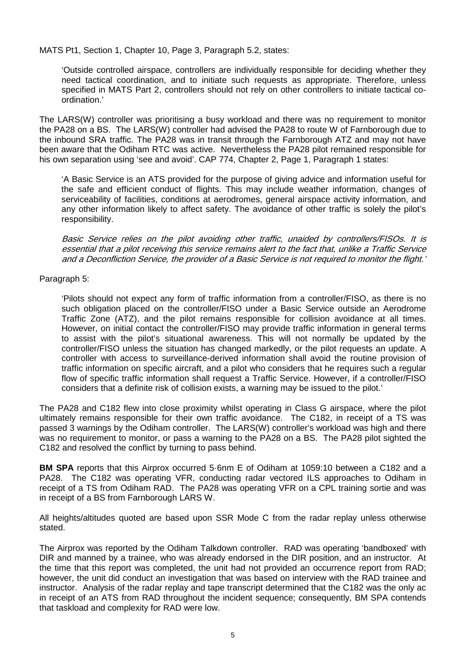MATS Pt1, Section 1, Chapter 10, Page 3, Paragraph 5.2, states:

'Outside controlled airspace, controllers are individually responsible for deciding whether they need tactical coordination, and to initiate such requests as appropriate. Therefore, unless specified in MATS Part 2, controllers should not rely on other controllers to initiate tactical coordination.'

The LARS(W) controller was prioritising a busy workload and there was no requirement to monitor the PA28 on a BS. The LARS(W) controller had advised the PA28 to route W of Farnborough due to the inbound SRA traffic. The PA28 was in transit through the Farnborough ATZ and may not have been aware that the Odiham RTC was active. Nevertheless the PA28 pilot remained responsible for his own separation using 'see and avoid'. CAP 774, Chapter 2, Page 1, Paragraph 1 states:

'A Basic Service is an ATS provided for the purpose of giving advice and information useful for the safe and efficient conduct of flights. This may include weather information, changes of serviceability of facilities, conditions at aerodromes, general airspace activity information, and any other information likely to affect safety. The avoidance of other traffic is solely the pilot's responsibility.

Basic Service relies on the pilot avoiding other traffic, unaided by controllers/FISOs. It is essential that a pilot receiving this service remains alert to the fact that, unlike a Traffic Service and a Deconfliction Service, the provider of a Basic Service is not required to monitor the flight.'

### Paragraph 5:

'Pilots should not expect any form of traffic information from a controller/FISO, as there is no such obligation placed on the controller/FISO under a Basic Service outside an Aerodrome Traffic Zone (ATZ), and the pilot remains responsible for collision avoidance at all times. However, on initial contact the controller/FISO may provide traffic information in general terms to assist with the pilot's situational awareness. This will not normally be updated by the controller/FISO unless the situation has changed markedly, or the pilot requests an update. A controller with access to surveillance-derived information shall avoid the routine provision of traffic information on specific aircraft, and a pilot who considers that he requires such a regular flow of specific traffic information shall request a Traffic Service. However, if a controller/FISO considers that a definite risk of collision exists, a warning may be issued to the pilot.'

The PA28 and C182 flew into close proximity whilst operating in Class G airspace, where the pilot ultimately remains responsible for their own traffic avoidance. The C182, in receipt of a TS was passed 3 warnings by the Odiham controller. The LARS(W) controller's workload was high and there was no requirement to monitor, or pass a warning to the PA28 on a BS. The PA28 pilot sighted the C182 and resolved the conflict by turning to pass behind.

**BM SPA** reports that this Airprox occurred 5·6nm E of Odiham at 1059:10 between a C182 and a PA28. The C182 was operating VFR, conducting radar vectored ILS approaches to Odiham in receipt of a TS from Odiham RAD. The PA28 was operating VFR on a CPL training sortie and was in receipt of a BS from Farnborough LARS W.

All heights/altitudes quoted are based upon SSR Mode C from the radar replay unless otherwise stated.

The Airprox was reported by the Odiham Talkdown controller. RAD was operating 'bandboxed' with DIR and manned by a trainee, who was already endorsed in the DIR position, and an instructor. At the time that this report was completed, the unit had not provided an occurrence report from RAD; however, the unit did conduct an investigation that was based on interview with the RAD trainee and instructor. Analysis of the radar replay and tape transcript determined that the C182 was the only ac in receipt of an ATS from RAD throughout the incident sequence; consequently, BM SPA contends that taskload and complexity for RAD were low.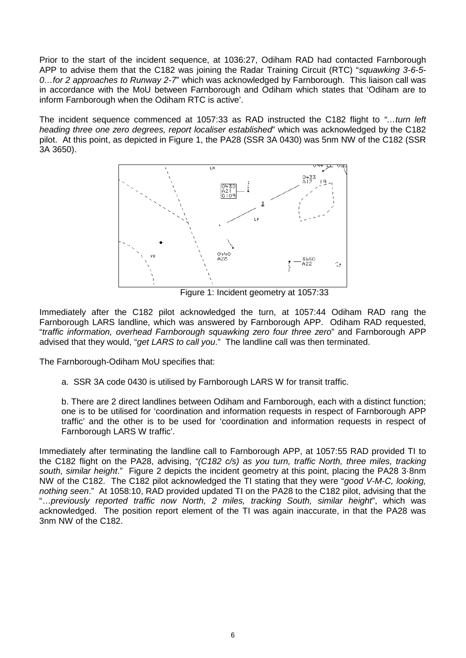Prior to the start of the incident sequence, at 1036:27, Odiham RAD had contacted Farnborough APP to advise them that the C182 was joining the Radar Training Circuit (RTC) "*squawking 3-6-5- 0…for 2 approaches to Runway 2-7*" which was acknowledged by Farnborough. This liaison call was in accordance with the MoU between Farnborough and Odiham which states that 'Odiham are to inform Farnborough when the Odiham RTC is active'.

The incident sequence commenced at 1057:33 as RAD instructed the C182 flight to *"…turn left heading three one zero degrees, report localiser established*" which was acknowledged by the C182 pilot. At this point, as depicted in Figure 1, the PA28 (SSR 3A 0430) was 5nm NW of the C182 (SSR 3A 3650).



Figure 1: Incident geometry at 1057:33

Immediately after the C182 pilot acknowledged the turn, at 1057:44 Odiham RAD rang the Farnborough LARS landline, which was answered by Farnborough APP. Odiham RAD requested, "*traffic information, overhead Farnborough squawking zero four three zero*" and Farnborough APP advised that they would, "*get LARS to call you*." The landline call was then terminated.

The Farnborough-Odiham MoU specifies that:

a. SSR 3A code 0430 is utilised by Farnborough LARS W for transit traffic.

b. There are 2 direct landlines between Odiham and Farnborough, each with a distinct function; one is to be utilised for 'coordination and information requests in respect of Farnborough APP traffic' and the other is to be used for 'coordination and information requests in respect of Farnborough LARS W traffic'.

Immediately after terminating the landline call to Farnborough APP, at 1057:55 RAD provided TI to the C182 flight on the PA28, advising, *"(C182 c/s) as you turn, traffic North, three miles, tracking south, similar height*." Figure 2 depicts the incident geometry at this point, placing the PA28 3·8nm NW of the C182. The C182 pilot acknowledged the TI stating that they were "*good V-M-C, looking, nothing seen*." At 1058:10, RAD provided updated TI on the PA28 to the C182 pilot, advising that the "…*previously reported traffic now North, 2 miles, tracking South, similar height*", which was acknowledged. The position report element of the TI was again inaccurate, in that the PA28 was 3nm NW of the C182.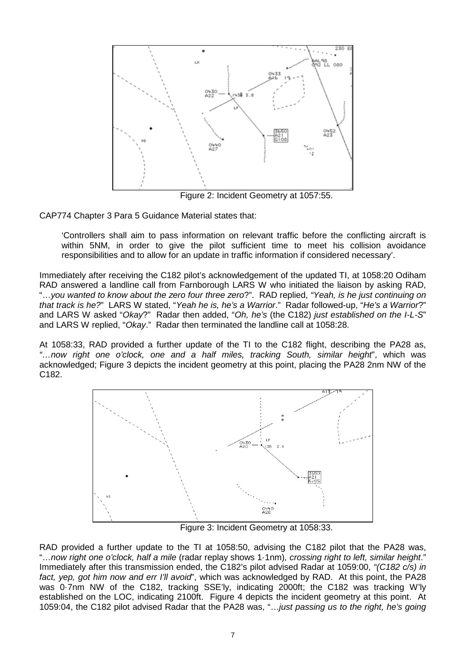

Figure 2: Incident Geometry at 1057:55.

CAP774 Chapter 3 Para 5 Guidance Material states that:

'Controllers shall aim to pass information on relevant traffic before the conflicting aircraft is within 5NM, in order to give the pilot sufficient time to meet his collision avoidance responsibilities and to allow for an update in traffic information if considered necessary'.

Immediately after receiving the C182 pilot's acknowledgement of the updated TI, at 1058:20 Odiham RAD answered a landline call from Farnborough LARS W who initiated the liaison by asking RAD, "…*you wanted to know about the zero four three zero*?". RAD replied, *"Yeah, is he just continuing on that track is he?*" LARS W stated, "*Yeah he is, he's a Warrior*." Radar followed-up, "*He's a Warrior*?" and LARS W asked "*Okay*?" Radar then added, "*Oh, he's* (the C182) *just established on the I-L-S*" and LARS W replied, "*Okay*." Radar then terminated the landline call at 1058:28.

At 1058:33, RAD provided a further update of the TI to the C182 flight, describing the PA28 as, *"…now right one o'clock, one and a half miles, tracking South, similar height*", which was acknowledged; Figure 3 depicts the incident geometry at this point, placing the PA28 2nm NW of the C182.



Figure 3: Incident Geometry at 1058:33.

RAD provided a further update to the TI at 1058:50, advising the C182 pilot that the PA28 was, "…*now right one o'clock, half a mile* (radar replay shows 1·1nm)*, crossing right to left, similar height*." Immediately after this transmission ended, the C182's pilot advised Radar at 1059:00, *"(C182 c/s) in fact, yep, got him now and err I'll avoid*", which was acknowledged by RAD. At this point, the PA28 was 0·7nm NW of the C182, tracking SSE'ly, indicating 2000ft; the C182 was tracking W'ly established on the LOC, indicating 2100ft. Figure 4 depicts the incident geometry at this point. At 1059:04, the C182 pilot advised Radar that the PA28 was, "…*just passing us to the right, he's going*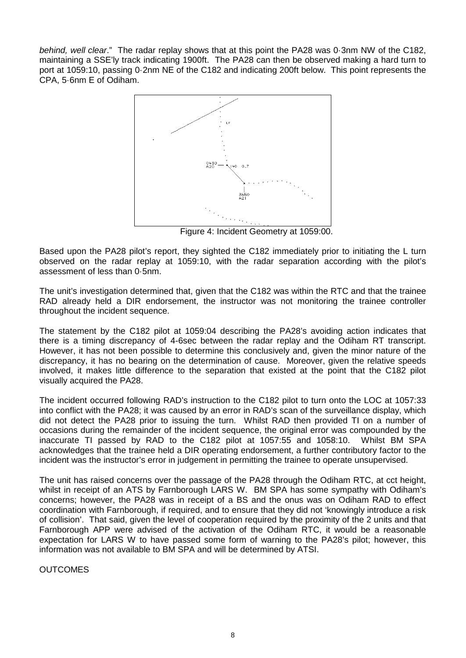*behind, well clear*." The radar replay shows that at this point the PA28 was 0·3nm NW of the C182, maintaining a SSE'ly track indicating 1900ft. The PA28 can then be observed making a hard turn to port at 1059:10, passing 0·2nm NE of the C182 and indicating 200ft below. This point represents the CPA, 5·6nm E of Odiham.



Figure 4: Incident Geometry at 1059:00.

Based upon the PA28 pilot's report, they sighted the C182 immediately prior to initiating the L turn observed on the radar replay at 1059:10, with the radar separation according with the pilot's assessment of less than 0·5nm.

The unit's investigation determined that, given that the C182 was within the RTC and that the trainee RAD already held a DIR endorsement, the instructor was not monitoring the trainee controller throughout the incident sequence.

The statement by the C182 pilot at 1059:04 describing the PA28's avoiding action indicates that there is a timing discrepancy of 4-6sec between the radar replay and the Odiham RT transcript. However, it has not been possible to determine this conclusively and, given the minor nature of the discrepancy, it has no bearing on the determination of cause. Moreover, given the relative speeds involved, it makes little difference to the separation that existed at the point that the C182 pilot visually acquired the PA28.

The incident occurred following RAD's instruction to the C182 pilot to turn onto the LOC at 1057:33 into conflict with the PA28; it was caused by an error in RAD's scan of the surveillance display, which did not detect the PA28 prior to issuing the turn. Whilst RAD then provided TI on a number of occasions during the remainder of the incident sequence, the original error was compounded by the inaccurate TI passed by RAD to the C182 pilot at 1057:55 and 1058:10. Whilst BM SPA acknowledges that the trainee held a DIR operating endorsement, a further contributory factor to the incident was the instructor's error in judgement in permitting the trainee to operate unsupervised.

The unit has raised concerns over the passage of the PA28 through the Odiham RTC, at cct height, whilst in receipt of an ATS by Farnborough LARS W. BM SPA has some sympathy with Odiham's concerns; however, the PA28 was in receipt of a BS and the onus was on Odiham RAD to effect coordination with Farnborough, if required, and to ensure that they did not 'knowingly introduce a risk of collision'. That said, given the level of cooperation required by the proximity of the 2 units and that Farnborough APP were advised of the activation of the Odiham RTC, it would be a reasonable expectation for LARS W to have passed some form of warning to the PA28's pilot; however, this information was not available to BM SPA and will be determined by ATSI.

**OUTCOMES**